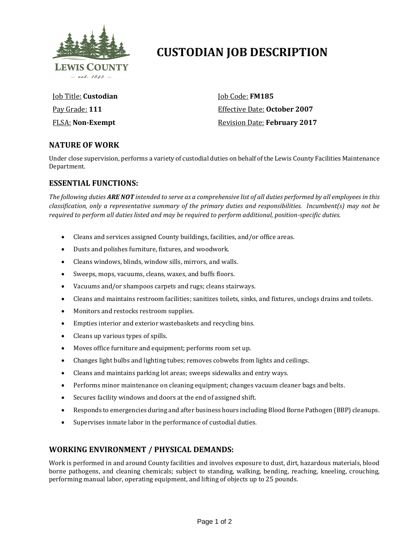

# **CUSTODIAN JOB DESCRIPTION**

Job Title: **Custodian** Pay Grade: **111** FLSA: **Non-Exempt**

Job Code: **FM185** Effective Date: **October 2007** Revision Date: **February 2017**

## **NATURE OF WORK**

Under close supervision, performs a variety of custodial duties on behalf of the Lewis County Facilities Maintenance Department.

## **ESSENTIAL FUNCTIONS:**

*The following duties ARE NOT intended to serve as a comprehensive list of all duties performed by all employees in this classification, only a representative summary of the primary duties and responsibilities. Incumbent(s) may not be required to perform all duties listed and may be required to perform additional, position-specific duties.*

- Cleans and services assigned County buildings, facilities, and/or office areas.
- Dusts and polishes furniture, fixtures, and woodwork.
- Cleans windows, blinds, window sills, mirrors, and walls.
- Sweeps, mops, vacuums, cleans, waxes, and buffs floors.
- Vacuums and/or shampoos carpets and rugs; cleans stairways.
- Cleans and maintains restroom facilities; sanitizes toilets, sinks, and fixtures, unclogs drains and toilets.
- Monitors and restocks restroom supplies.
- Empties interior and exterior wastebaskets and recycling bins.
- Cleans up various types of spills.
- Moves office furniture and equipment; performs room set up.
- Changes light bulbs and lighting tubes; removes cobwebs from lights and ceilings.
- Cleans and maintains parking lot areas; sweeps sidewalks and entry ways.
- Performs minor maintenance on cleaning equipment; changes vacuum cleaner bags and belts.
- Secures facility windows and doors at the end of assigned shift.
- Responds to emergencies during and after business hours including Blood Borne Pathogen (BBP) cleanups.
- Supervises inmate labor in the performance of custodial duties.

## **WORKING ENVIRONMENT / PHYSICAL DEMANDS:**

Work is performed in and around County facilities and involves exposure to dust, dirt, hazardous materials, blood borne pathogens, and cleaning chemicals; subject to standing, walking, bending, reaching, kneeling, crouching, performing manual labor, operating equipment, and lifting of objects up to 25 pounds.